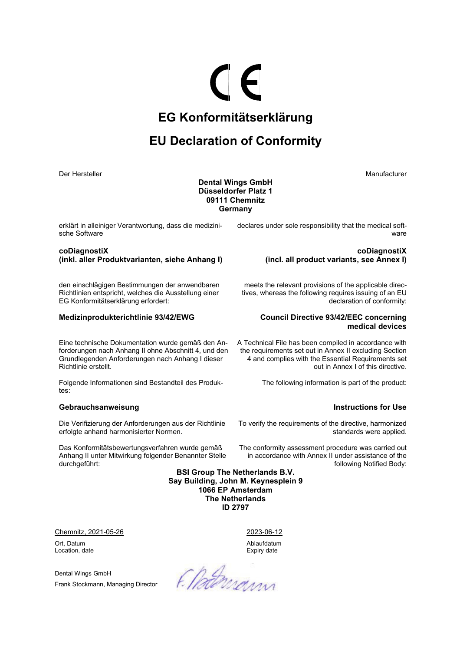# **EG Konformitätserklärung**

 $\epsilon$ 

## **EU Declaration of Conformity**

Der Hersteller Manufacturer Manufacturer Manufacturer Manufacturer Manufacturer Manufacturer

### **Dental Wings GmbH Düsseldorfer Platz 1 09111 Chemnitz Germany**

erklärt in alleiniger Verantwortung, dass die medizinische Software

**coDiagnostiX (inkl. aller Produktvarianten, siehe Anhang I)** 

den einschlägigen Bestimmungen der anwendbaren Richtlinien entspricht, welches die Ausstellung einer EG Konformitätserklärung erfordert:

Eine technische Dokumentation wurde gemäß den Anforderungen nach Anhang II ohne Abschnitt 4, und den Grundlegenden Anforderungen nach Anhang I dieser Richtlinie erstellt.

Folgende Informationen sind Bestandteil des Produktes:

#### **Gebrauchsanweisung Instructions for Use**

Die Verifizierung der Anforderungen aus der Richtlinie erfolgte anhand harmonisierter Normen.

Das Konformitätsbewertungsverfahren wurde gemäß Anhang II unter Mitwirkung folgender Benannter Stelle durchgeführt:

declares under sole responsibility that the medical software

> **coDiagnostiX (incl. all product variants, see Annex I)**

meets the relevant provisions of the applicable directives, whereas the following requires issuing of an EU declaration of conformity:

### **Medizinprodukterichtlinie 93/42/EWG Council Directive 93/42/EEC concerning medical devices**

A Technical File has been compiled in accordance with the requirements set out in Annex II excluding Section 4 and complies with the Essential Requirements set out in Annex I of this directive.

The following information is part of the product:

To verify the requirements of the directive, harmonized standards were applied.

The conformity assessment procedure was carried out in accordance with Annex II under assistance of the following Notified Body:

**BSI Group The Netherlands B.V. Say Building, John M. Keynesplein 9 1066 EP Amsterdam The Netherlands ID 2797** 

Chemnitz, 2021-05-26 2023-06-12

Ort, Datum Ablaufdatum Location, date **Expiry date** Expiry date

Dental Wings GmbH

Frank Stockmann, Managing Director

F. Nordwann